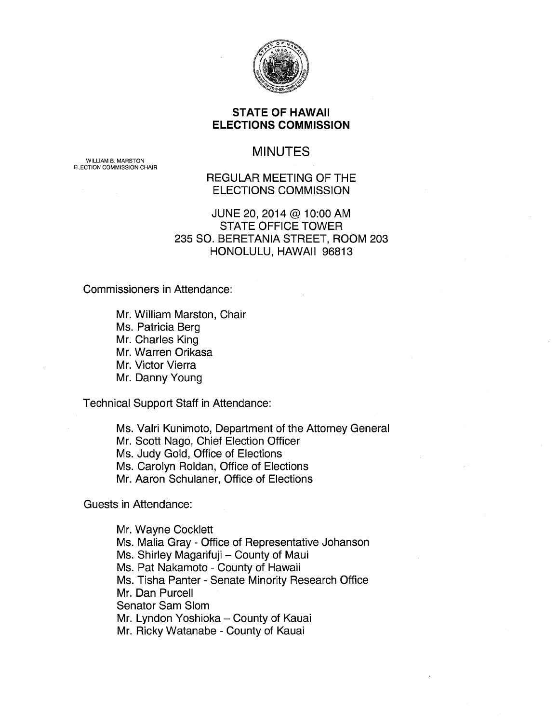

### **STATE OF HAWAII ELECTIONS COMMISSION**

# MINUTES

WILLIAM B. MARSTON ELECTION COMMISSION CHAIR

# REGULAR MEETING OF THE ELECTIONS COMMISSION

### JUNE 20, 2014@ 10:00 AM STATE OFFICE TOWER 235 SO. BERETANIA STREET, ROOM 203 HONOLULU, HAWAII 96813

Commissioners in Attendance:

Mr. William Marston, Chair Ms. Patricia Berg Mr. Charles King Mr. Warren Orikasa Mr. Victor Vierra Mr. Danny Young

Technical Support Staff in Attendance:

Ms. Valri Kunimoto, Department of the Attorney General Mr. Scott Nago, Chief Election Officer Ms. Judy Gold, Office of Elections Ms. Carolyn Roldan, Office of Elections Mr. Aaron Schulaner, Office of Elections

Guests in Attendance:

Mr. Wayne Cocklett Ms. Malia Gray - Office of Representative Johanson Ms. Shirley Magarifuji - County of Maui Ms. Pat Nakamoto - County of Hawaii Ms. Tisha Panter - Senate Minority Research Office Mr. Dan Purcell Senator Sam Slam Mr. Lyndon Yoshioka - County of Kauai Mr. Ricky Watanabe - County of Kauai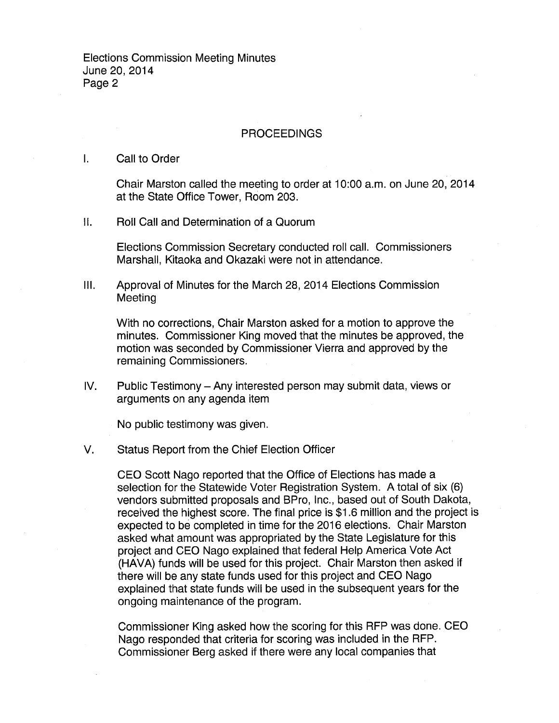### PROCEEDINGS

#### I. Call to Order

Chair Marston called the meeting to order at 10:00 a.m. on June 20, 2014 at the State Office Tower, Room 203.

II. Roll Call and Determination of a Quorum

Elections Commission Secretary conducted roll call. Commissioners Marshall, Kitaoka and Okazaki were not in attendance.

Ill. Approval of Minutes for the March 28, 2014 Elections Commission Meeting

With no corrections, Chair Marston asked for a motion to approve the minutes. Commissioner King moved that the minutes be approved, the motion was seconded by Commissioner Vierra and approved by the remaining Commissioners.

IV. Public Testimony- Any interested person may submit data, views or arguments on any agenda item

No public testimony was given.

#### V. Status Report from the Chief Election Officer

CEO Scott Nago reported that the Office of Elections has made a selection for the Statewide Voter Registration System. A total of six (6) vendors submitted proposals and BPro, Inc., based out of South Dakota, received the highest score. The final price is \$1 .6 million and the project is expected to be completed in time for the 2016 elections. Chair Marston asked what amount was appropriated by the State Legislature for this project and CEO Nago explained that federal Help America Vote Act (HAVA) funds will be used for this project. Chair Marston then asked if there will be any state funds used for this project and CEO Nago explained that state funds will be used in the subsequent years for the ongoing maintenance of the program.

Commissioner King asked how the scoring for this RFP was done. CEO Nago responded that criteria for scoring was included in the RFP. Commissioner Berg asked if there were any local companies that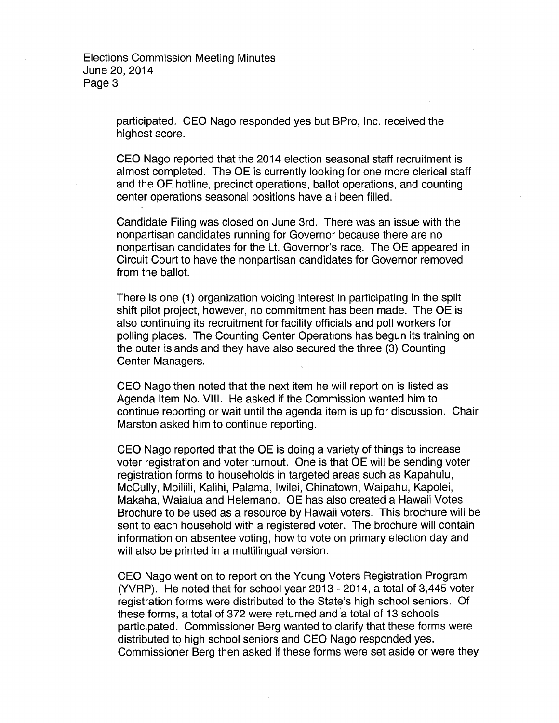> participated. CEO Nago responded yes but BPro, Inc. received the highest score.

CEO Nago reported that the 2014 election seasonal staff recruitment is almost completed. The OE is currently looking for one more clerical staff and the OE hotline, precinct operations, ballot operations, and counting center operations seasonal positions have all been filled.

Candidate Filing was closed on June 3rd. There was an issue with the nonpartisan candidates running for Governor because there are no nonpartisan candidates for the Lt. Governor's race. The OE appeared in Circuit Court to have the nonpartisan candidates for Governor removed from the ballot.

There is one (1) organization voicing interest in participating in the split shift pilot project, however, no commitment has been made. The OE is also continuing its recruitment for facility officials and poll workers for polling places. The Counting Center Operations has begun its training on the outer islands and they have also secured the three (3) Counting Center Managers.

CEO Nago then noted that the next item he will report on is listed as Agenda Item No. VIII. He asked if the Commission wanted him to continue reporting or wait until the agenda item is up for discussion. Chair Marston asked him to continue reporting.

CEO Nago reported that the OE is doing a variety of things to increase voter registration and voter turnout. One is that OE will be sending voter registration forms to households in targeted areas such as Kapahulu, McCully, Moiliili, Kalihi, Palama, lwilei, Chinatown, Waipahu, Kapolei, Makaha, Waialua and Helemano. OE has also created a Hawaii Votes Brochure to be used as a resource by Hawaii voters. This brochure will be sent to each household with a registered voter. The brochure will contain information on absentee voting, how to vote on primary election day and will also be printed in a multilingual version.

CEO Nago went on to report on the Young Voters Registration Program (YVRP). He noted that for school year 2013- 2014, a total of 3,445 voter registration forms were distributed to the State's high school seniors. Of these forms, a total of 372 were returned and a total of 13 schools participated. Commissioner Berg wanted to clarify that these forms were distributed to high school seniors and CEO Nago responded yes. Commissioner Berg then asked if these forms were set aside or were they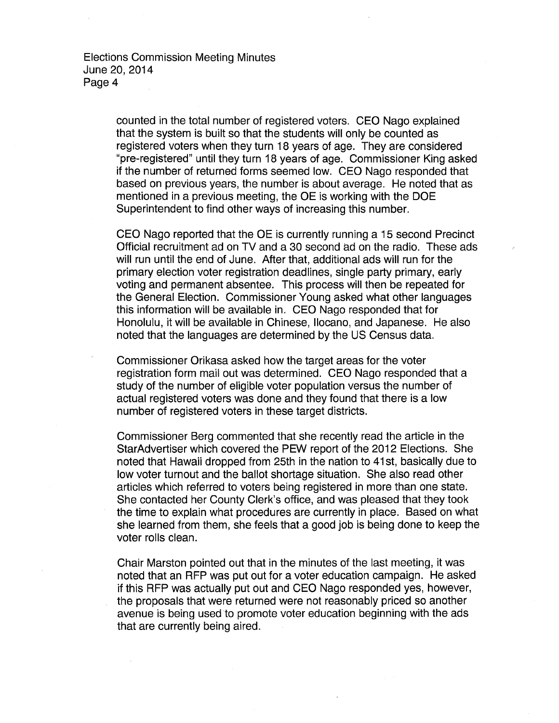> counted in the total number of registered voters. CEO Nago explained that the system is built so that the students will only be counted as registered voters when they turn 18 years of age. They are considered "pre-registered" until they turn 18 years of age. Commissioner King asked if the number of returned forms seemed low. CEO Nago responded that based on previous years, the number is about average. He noted that as mentioned in a previous meeting, the OE is working with the DOE Superintendent to find other ways of increasing this number.

> CEO Nago reported that the OE is currently running a 15 second Precinct Official recruitment ad on TV and a 30 second ad on the radio. These ads will run until the end of June. After that, additional ads will run for the primary election voter registration deadlines, single party primary, early voting and permanent absentee. This process will then be repeated for the General Election. Commissioner Young asked what other languages this information will be available in. CEO Nago responded that for Honolulu, it will be available in Chinese, llocano, and Japanese. He also noted that the languages are determined by the US Census data.

Commissioner Orikasa asked how the target areas for the voter registration form mail out was determined. CEO Nago responded that a study of the number of eligible voter population versus the number of actual registered voters was done and they found that there is a low number of registered voters in these target districts.

Commissioner Berg commented that she recently read the article in the Star Advertiser which covered the PEW report of the 2012 Elections. She noted that Hawaii dropped from 25th in the nation to 41st, basically due to low voter turnout and the ballot shortage situation. She also read other articles which referred to voters being registered in more than one state. She contacted her County Clerk's office, and was pleased that they took the time to explain what procedures are currently in place. Based on what she learned from them, she feels that a good job is being done to keep the voter rolls clean.

Chair Marston pointed out that in the minutes of the last meeting, it was noted that an RFP was put out for a voter education campaign. He asked if this RFP was actually put out and CEO Nago responded yes, however, the proposals that were returned were not reasonably priced so another avenue is being used to promote voter education beginning with the ads that are currently being aired.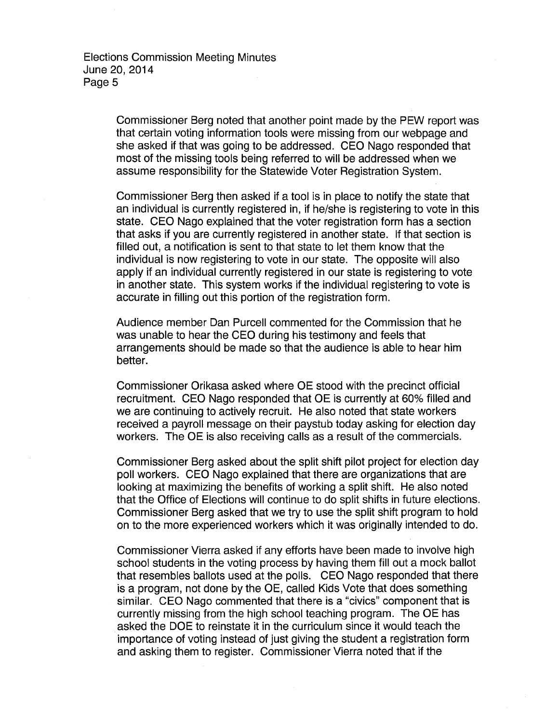Commissioner Berg noted that another point made by the PEW report was that certain voting information tools were missing from our webpage and she asked if that was going to be addressed. CEO Nago responded that most of the missing tools being referred to will be addressed when we assume responsibility for the Statewide Voter Registration System.

Commissioner Berg then asked if a tool is in place to notify the state that an individual is currently registered in, if he/she is registering to vote in this state. CEO Nago explained that the voter registration form has a section that asks if you are currently registered in another state. If that section is filled out, a notification is sent to that state to let them know that the individual is now registering to vote in our state. The opposite will also apply if an individual currently registered in our state is registering to vote in another state. This system works if the individual registering to vote is accurate in filling out this portion of the registration form.

Audience member Dan Purcell commented for the Commission that he was unable to hear the CEO during his testimony and feels that arrangements should be made so that the audience is able to hear him better.

Commissioner Orikasa asked where OE stood with the precinct official recruitment. CEO Nago responded that OE is currently at 60% filled and we are continuing to actively recruit. He also noted that state workers received a payroll message on their paystub today asking for election day workers. The OE is also receiving calls as a result of the commercials.

Commissioner Berg asked about the split shift pilot project for election day poll workers. CEO Nago explained that there are organizations that are looking at maximizing the benefits of working a split shift. He also noted that the Office of Elections will continue to do split shifts in future elections. Commissioner Berg asked that we try to use the split shift program to hold on to the more experienced workers which it was originally intended to do.

Commissioner Vierra asked if any efforts have been made to involve high school students in the voting process by having them fill out a mock ballot that resembles ballots used at the polls. CEO Nago responded that there is a program, not done by the OE, called Kids Vote that does something similar. CEO Nago commented that there is a "civics" component that is currently missing from the high school teaching program. The OE has asked the DOE to reinstate it in the curriculum since it would teach the importance of voting instead of just giving the student a registration form and asking them to register. Commissioner Vierra noted that if the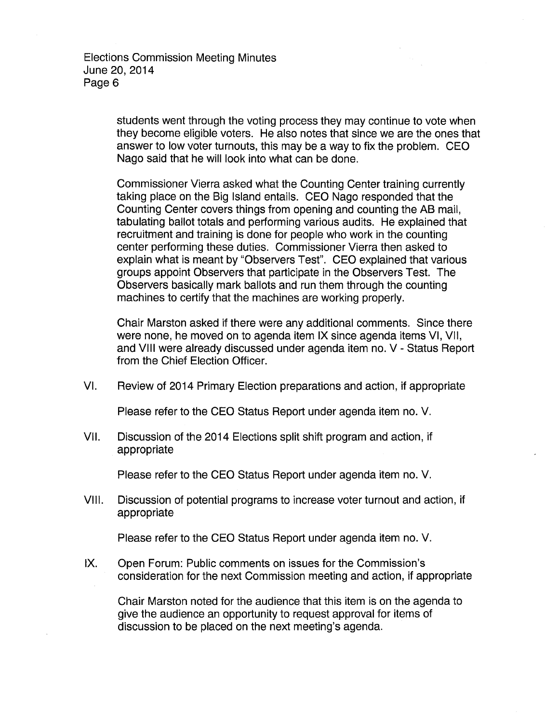> students went through the voting process they may continue to vote when they become eligible voters. He also notes that since we are the ones that answer to low voter turnouts, this may be a way to fix the problem. CEO Nago said that he will look into what can be done.

Commissioner Vierra asked what the Counting Center training currently taking place on the Big Island entails. CEO Nago responded that the Counting Center covers things from opening and counting the AB mail, tabulating ballot totals and performing various audits. He explained that recruitment and training is done for people who work in the counting center performing these duties. Commissioner Vierra then asked to explain what is meant by "Observers Test". CEO explained that various groups appoint Observers that participate in the Observers Test. The Observers basically mark ballots and run them through the counting machines to certify that the machines are working properly.

Chair Marston asked if there were any additional comments. Since there were none, he moved on to agenda item IX since agenda items VI, VII, and VIII were already discussed under agenda item no. V- Status Report from the Chief Election Officer.

VI. Review of 2014 Primary Election preparations and action, if appropriate

Please refer to the CEO Status Report under agenda item no. V.

VII. Discussion of the 2014 Elections split shift program and action, if appropriate

Please refer to the CEO Status Report under agenda item no. V.

VIII. Discussion of potential programs to increase voter turnout and action, if appropriate

Please refer to the CEO Status Report under agenda item no. V.

IX. Open Forum: Public comments on issues for the Commission's consideration for the next Commission meeting and action, if appropriate

Chair Marston noted for the audience that this item is on the agenda to give the audience an opportunity to request approval for items of discussion to be placed on the next meeting's agenda.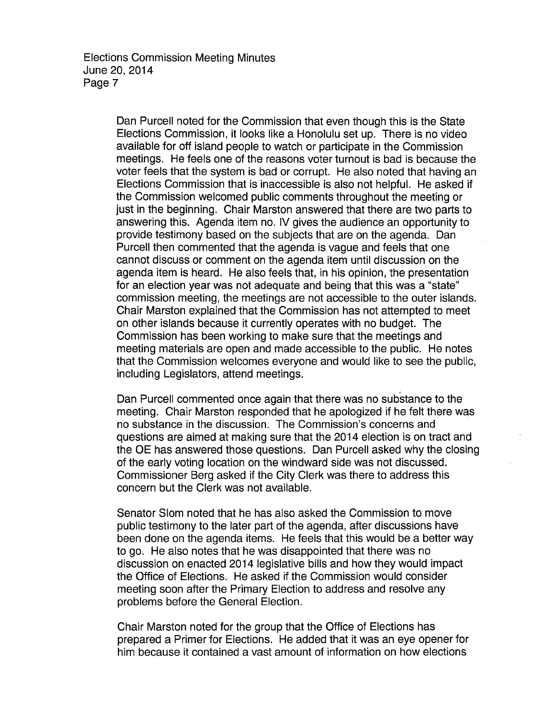Dan Purcell noted for the Commission that even though this is the State Elections Commission, it looks like a Honolulu set up. There is no video available for off island people to watch or participate in the Commission meetings. He feels one of the reasons voter turnout is bad is because the voter feels that the system is bad or corrupt. He also noted that having an Elections Commission that is inaccessible is also not helpful. He asked if the Commission welcomed public comments throughout the meeting or just in the beginning. Chair Marston answered that there are two parts to answering this. Agenda item no. IV gives the audience an opportunity to provide testimony based on the subjects that are on the agenda. Dan Purcell then commented that the agenda is vague and feels that one cannot discuss or comment on the agenda item until discussion on the agenda item is heard. He also feels that, in his opinion, the presentation for an election year was not adequate and being that this was a "state" commission meeting, the meetings are not accessible to the outer islands. Chair Marston explained that the Commission has not attempted to meet on other islands because it currently operates with no budget. The Commission has been working to make sure that the meetings and meeting materials are open and made accessible to the public. He notes that the Commission welcomes everyone and would like to see the public, including Legislators, attend meetings.

Dan Purcell commented once again that there was no substance to the meeting. Chair Marston responded that he apologized if he felt there was no substance in the discussion. The Commission's concerns and questions are aimed at making sure that the 2014 election is on tract and the OE has answered those questions. Dan Purcell asked why the closing of the early voting location on the windward side was not discussed. Commissioner Berg asked if the City Clerk was there to address this concern but the Clerk was not available.

Senator Slom noted that he has also asked the Commission to move public testimony to the later part of the agenda, after discussions have been done on the agenda items. He feels that this would be a better way to go. He also notes that he was disappointed that there was no discussion on enacted 2014 legislative bills and how they would impact the Office of Elections. He asked if the Commission would consider meeting soon after the Primary Election to address and resolve any problems before the General Election.

Chair Marston noted for the group that the Office of Elections has prepared a Primer for Elections. He added that it was an eye opener for him because it contained a vast amount of information on how elections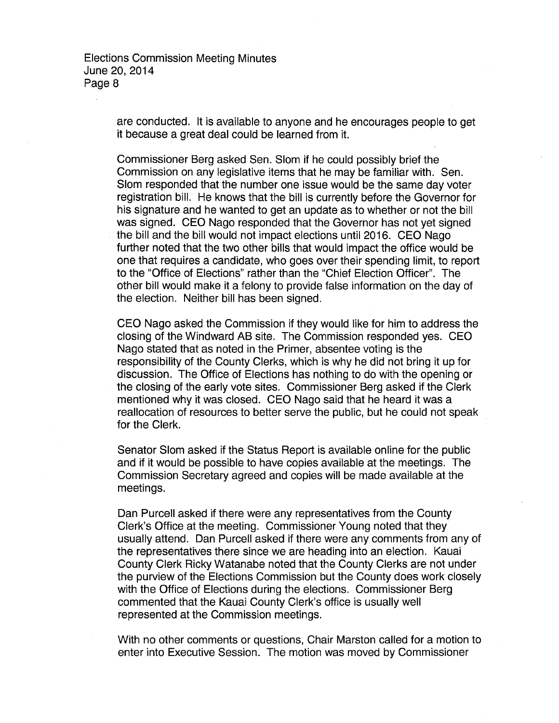> are conducted. It is available to anyone and he encourages people to get it because a great deal could be learned from it.

> Commissioner Berg asked Sen. Slom if he could possibly brief the Commission on any legislative items that he may be familiar with. Sen. Slom responded that the number one issue would be the same day voter registration bill. He knows that the bill is currently before the Governor for his signature and he wanted to get an update as to whether or not the bill was signed. CEO Nago responded that the Governor has not yet signed the bill and the bill would not impact elections until 2016. CEO Nago further noted that the two other bills that would impact the office would be one that requires a candidate, who goes over their spending limit, to report to the "Office of Elections" rather than the "Chief Election Officer". The other bill would make it a felony to provide false information on the day of the election. Neither bill has been signed.

> CEO Nago asked the Commission if they would like for him to address the closing of the Windward AB site. The Commission responded yes. CEO Nago stated that as noted in the Primer, absentee voting is the responsibility of the County Clerks, which is why he did not bring it up for discussion. The Office of Elections has nothing to do with the opening or the closing of the early vote sites. Commissioner Berg asked if the Clerk mentioned why it was closed. CEO Nago said that he heard it was a reallocation of resources to better serve the public, but he could not speak for the Clerk.

Senator Slom asked if the Status Report is available online for the public and if it would be possible to have copies available at the meetings. The Commission Secretary agreed and copies will be made available at the meetings.

Dan Purcell asked if there were any representatives from the County Clerk's Office at the meeting. Commissioner Young noted that they usually attend. Dan Purcell asked if there were any comments from any of the representatives there since we are heading into an election. Kauai County Clerk Ricky Watanabe noted that the County Clerks are not under the purview of the Elections Commission but the County does work closely with the Office of Elections during the elections. Commissioner Berg commented that the Kauai County Clerk's office is usually well represented at the Commission meetings.

With no other comments or questions, Chair Marston called for a motion to enter into Executive Session. The motion was moved by Commissioner